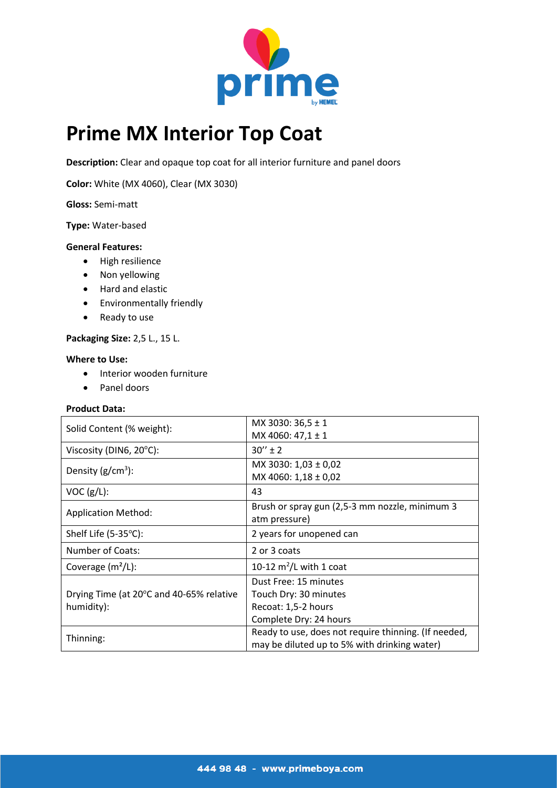

# **Prime MX Interior Top Coat**

**Description:** Clear and opaque top coat for all interior furniture and panel doors

**Color:** White (MX 4060), Clear (MX 3030)

**Gloss:** Semi-matt

#### **Type:** Water-based

#### **General Features:**

- High resilience
- Non yellowing
- Hard and elastic
- **•** Environmentally friendly
- Ready to use

# **Packaging Size:** 2,5 L., 15 L.

#### **Where to Use:**

- Interior wooden furniture
- Panel doors

# **Product Data:**

| Solid Content (% weight):                              | MX 3030: 36,5 ± 1<br>MX 4060: $47,1 \pm 1$                                                           |
|--------------------------------------------------------|------------------------------------------------------------------------------------------------------|
| Viscosity (DIN6, 20°C):                                | $30'' \pm 2$                                                                                         |
| Density $(g/cm^3)$ :                                   | MX 3030: 1,03 ± 0,02<br>MX 4060: 1,18 ± 0,02                                                         |
| VOC (g/L):                                             | 43                                                                                                   |
| <b>Application Method:</b>                             | Brush or spray gun (2,5-3 mm nozzle, minimum 3<br>atm pressure)                                      |
| Shelf Life (5-35°C):                                   | 2 years for unopened can                                                                             |
| Number of Coats:                                       | 2 or 3 coats                                                                                         |
| Coverage $(m^2/L)$ :                                   | 10-12 $m^2$ /L with 1 coat                                                                           |
| Drying Time (at 20°C and 40-65% relative<br>humidity): | Dust Free: 15 minutes<br>Touch Dry: 30 minutes<br>Recoat: 1,5-2 hours<br>Complete Dry: 24 hours      |
| Thinning:                                              | Ready to use, does not require thinning. (If needed,<br>may be diluted up to 5% with drinking water) |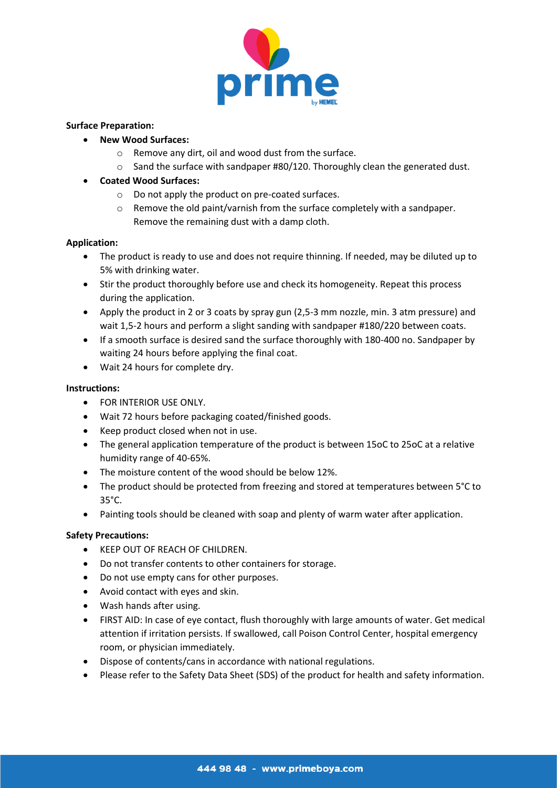

# **Surface Preparation:**

- **New Wood Surfaces:**
	- o Remove any dirt, oil and wood dust from the surface.
	- o Sand the surface with sandpaper #80/120. Thoroughly clean the generated dust.
- **Coated Wood Surfaces:**
	- o Do not apply the product on pre-coated surfaces.
	- $\circ$  Remove the old paint/varnish from the surface completely with a sandpaper. Remove the remaining dust with a damp cloth.

# **Application:**

- The product is ready to use and does not require thinning. If needed, may be diluted up to 5% with drinking water.
- Stir the product thoroughly before use and check its homogeneity. Repeat this process during the application.
- Apply the product in 2 or 3 coats by spray gun (2,5-3 mm nozzle, min. 3 atm pressure) and wait 1,5-2 hours and perform a slight sanding with sandpaper #180/220 between coats.
- If a smooth surface is desired sand the surface thoroughly with 180-400 no. Sandpaper by waiting 24 hours before applying the final coat.
- Wait 24 hours for complete dry.

#### **Instructions:**

- **FOR INTERIOR USE ONLY.**
- Wait 72 hours before packaging coated/finished goods.
- Keep product closed when not in use.
- The general application temperature of the product is between 15oC to 25oC at a relative humidity range of 40-65%.
- The moisture content of the wood should be below 12%.
- The product should be protected from freezing and stored at temperatures between 5°C to 35°C.
- Painting tools should be cleaned with soap and plenty of warm water after application.

#### **Safety Precautions:**

- **KEEP OUT OF REACH OF CHILDREN.**
- Do not transfer contents to other containers for storage.
- Do not use empty cans for other purposes.
- Avoid contact with eyes and skin.
- Wash hands after using.
- FIRST AID: In case of eye contact, flush thoroughly with large amounts of water. Get medical attention if irritation persists. If swallowed, call Poison Control Center, hospital emergency room, or physician immediately.
- Dispose of contents/cans in accordance with national regulations.
- Please refer to the Safety Data Sheet (SDS) of the product for health and safety information.